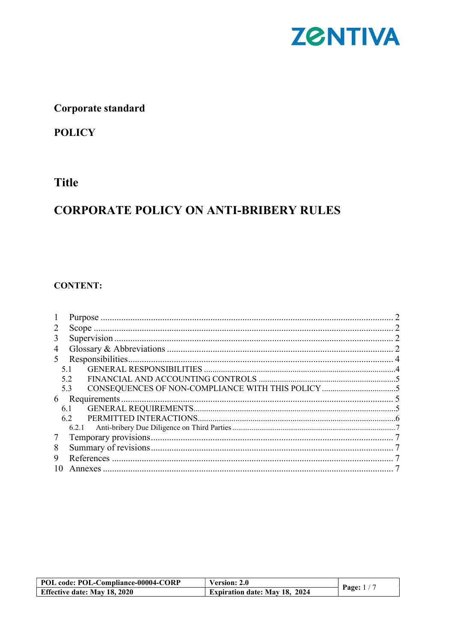

## Corporate standard

## **POLICY**

### **Title**

# **CORPORATE POLICY ON ANTI-BRIBERY RULES**

#### **CONTENT:**

| 3 |       |  |
|---|-------|--|
| 4 |       |  |
| 5 |       |  |
|   | 5.1   |  |
|   | 5.2   |  |
|   | 5.3   |  |
| 6 |       |  |
|   | 6.1   |  |
|   | 6.2   |  |
|   | 6.2.1 |  |
| 7 |       |  |
| 8 |       |  |
| 9 |       |  |
|   |       |  |

| POL code: POL-Compliance-00004-CORP | Version: 2.0                         |             |
|-------------------------------------|--------------------------------------|-------------|
| <b>Effective date: May 18, 2020</b> | <b>Expiration date: May 18, 2024</b> | Page: $1/7$ |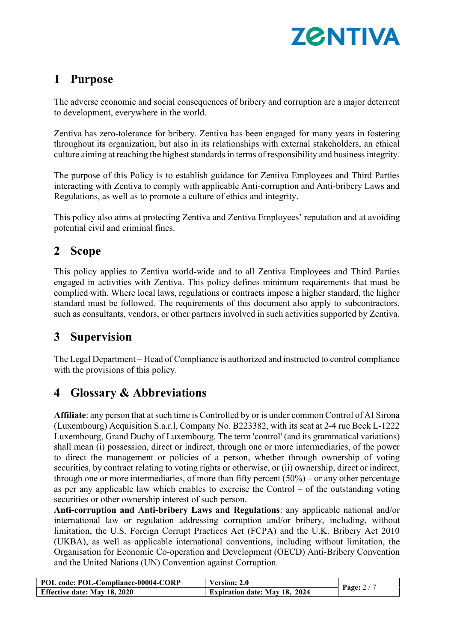

## 1 Purpose

The adverse economic and social consequences of bribery and corruption are a major deterrent to development, everywhere in the world.

Zentiva has zero-tolerance for bribery. Zentiva has been engaged for many years in fostering throughout its organization, but also in its relationships with external stakeholders, an ethical culture aiming at reaching the highest standards in terms of responsibility and business integrity.

The purpose of this Policy is to establish guidance for Zentiva Employees and Third Parties interacting with Zentiva to comply with applicable Anti-corruption and Anti-bribery Laws and Regulations, as well as to promote a culture of ethics and integrity.

This policy also aims at protecting Zentiva and Zentiva Employees' reputation and at avoiding potential civil and criminal fines.

## 2 Scope

This policy applies to Zentiva world-wide and to all Zentiva Employees and Third Parties engaged in activities with Zentiva. This policy defines minimum requirements that must be complied with. Where local laws, regulations or contracts impose a higher standard, the higher standard must be followed. The requirements of this document also apply to subcontractors, such as consultants, vendors, or other partners involved in such activities supported by Zentiva.

# 3 Supervision

The Legal Department – Head of Compliance is authorized and instructed to control compliance with the provisions of this policy.

## 4 Glossary & Abbreviations

Affiliate: any person that at such time is Controlled by or is under common Control of AI Sirona (Luxembourg) Acquisition S.a.r.l, Company No. B223382, with its seat at 2-4 rue Beck L-1222 Luxembourg, Grand Duchy of Luxembourg. The term 'control' (and its grammatical variations) shall mean (i) possession, direct or indirect, through one or more intermediaries, of the power to direct the management or policies of a person, whether through ownership of voting securities, by contract relating to voting rights or otherwise, or (ii) ownership, direct or indirect, through one or more intermediaries, of more than fifty percent  $(50\%)$  – or any other percentage as per any applicable law which enables to exercise the Control – of the outstanding voting securities or other ownership interest of such person.

Anti-corruption and Anti-bribery Laws and Regulations: any applicable national and/or international law or regulation addressing corruption and/or bribery, including, without limitation, the U.S. Foreign Corrupt Practices Act (FCPA) and the U.K. Bribery Act 2010 (UKBA), as well as applicable international conventions, including without limitation, the Organisation for Economic Co-operation and Development (OECD) Anti-Bribery Convention and the United Nations (UN) Convention against Corruption.

| POL code: POL-Compliance-00004-CORP | <b>Version: 2.0</b>                  |            |
|-------------------------------------|--------------------------------------|------------|
| <b>Effective date: May 18, 2020</b> | <b>Expiration date: May 18, 2024</b> | Page: $2/$ |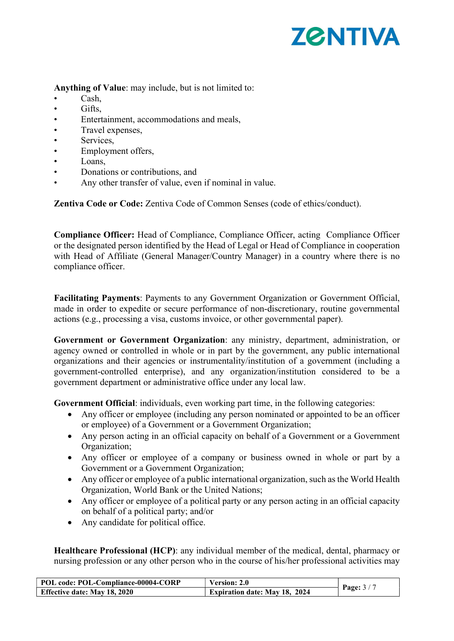

Anything of Value: may include, but is not limited to:

- Cash,
- Gifts.
- Entertainment, accommodations and meals,
- Travel expenses,
- Services,
- Employment offers,
- Loans,
- Donations or contributions, and
- Any other transfer of value, even if nominal in value.

Zentiva Code or Code: Zentiva Code of Common Senses (code of ethics/conduct).

Compliance Officer: Head of Compliance, Compliance Officer, acting Compliance Officer or the designated person identified by the Head of Legal or Head of Compliance in cooperation with Head of Affiliate (General Manager/Country Manager) in a country where there is no compliance officer.

Facilitating Payments: Payments to any Government Organization or Government Official, made in order to expedite or secure performance of non-discretionary, routine governmental actions (e.g., processing a visa, customs invoice, or other governmental paper).

Government or Government Organization: any ministry, department, administration, or agency owned or controlled in whole or in part by the government, any public international organizations and their agencies or instrumentality/institution of a government (including a government-controlled enterprise), and any organization/institution considered to be a government department or administrative office under any local law.

Government Official: individuals, even working part time, in the following categories:

- Any officer or employee (including any person nominated or appointed to be an officer or employee) of a Government or a Government Organization;
- Any person acting in an official capacity on behalf of a Government or a Government Organization;
- Any officer or employee of a company or business owned in whole or part by a Government or a Government Organization;
- Any officer or employee of a public international organization, such as the World Health Organization, World Bank or the United Nations;
- Any officer or employee of a political party or any person acting in an official capacity on behalf of a political party; and/or
- Any candidate for political office.

Healthcare Professional (HCP): any individual member of the medical, dental, pharmacy or nursing profession or any other person who in the course of his/her professional activities may

| POL code: POL-Compliance-00004-CORP | Version: 2.0                         |         |
|-------------------------------------|--------------------------------------|---------|
| <b>Effective date: May 18, 2020</b> | <b>Expiration date: May 18, 2024</b> | Page: 3 |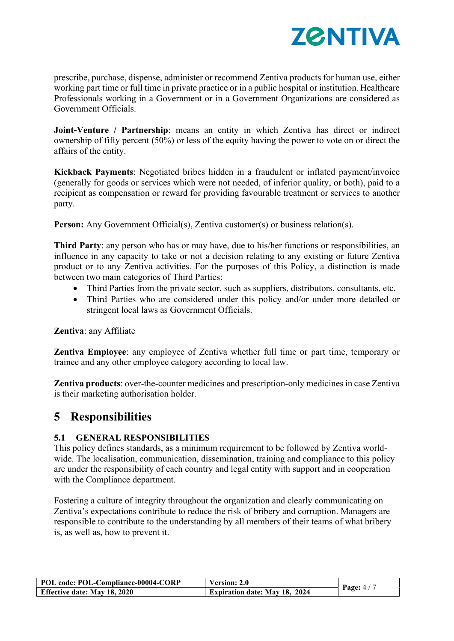

prescribe, purchase, dispense, administer or recommend Zentiva products for human use, either working part time or full time in private practice or in a public hospital or institution. Healthcare Professionals working in a Government or in a Government Organizations are considered as Government Officials.

Joint-Venture / Partnership: means an entity in which Zentiva has direct or indirect ownership of fifty percent (50%) or less of the equity having the power to vote on or direct the affairs of the entity.

Kickback Payments: Negotiated bribes hidden in a fraudulent or inflated payment/invoice (generally for goods or services which were not needed, of inferior quality, or both), paid to a recipient as compensation or reward for providing favourable treatment or services to another party.

Person: Any Government Official(s), Zentiva customer(s) or business relation(s).

Third Party: any person who has or may have, due to his/her functions or responsibilities, an influence in any capacity to take or not a decision relating to any existing or future Zentiva product or to any Zentiva activities. For the purposes of this Policy, a distinction is made between two main categories of Third Parties:

- Third Parties from the private sector, such as suppliers, distributors, consultants, etc.
- Third Parties who are considered under this policy and/or under more detailed or stringent local laws as Government Officials.

Zentiva: any Affiliate

Zentiva Employee: any employee of Zentiva whether full time or part time, temporary or trainee and any other employee category according to local law.

Zentiva products: over-the-counter medicines and prescription-only medicines in case Zentiva is their marketing authorisation holder.

## 5 Responsibilities

#### 5.1 GENERAL RESPONSIBILITIES

This policy defines standards, as a minimum requirement to be followed by Zentiva worldwide. The localisation, communication, dissemination, training and compliance to this policy are under the responsibility of each country and legal entity with support and in cooperation with the Compliance department.

Fostering a culture of integrity throughout the organization and clearly communicating on Zentiva's expectations contribute to reduce the risk of bribery and corruption. Managers are responsible to contribute to the understanding by all members of their teams of what bribery is, as well as, how to prevent it.

| POL code: POL-Compliance-00004-CORP | <b>Version: 2.0</b>                  |            |
|-------------------------------------|--------------------------------------|------------|
| <b>Effective date: May 18, 2020</b> | <b>Expiration date: May 18, 2024</b> | Page: $4/$ |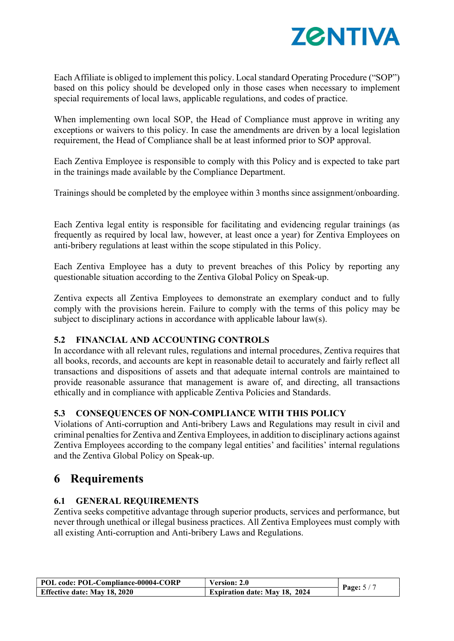

Each Affiliate is obliged to implement this policy. Local standard Operating Procedure ("SOP") based on this policy should be developed only in those cases when necessary to implement special requirements of local laws, applicable regulations, and codes of practice.

When implementing own local SOP, the Head of Compliance must approve in writing any exceptions or waivers to this policy. In case the amendments are driven by a local legislation requirement, the Head of Compliance shall be at least informed prior to SOP approval.

Each Zentiva Employee is responsible to comply with this Policy and is expected to take part in the trainings made available by the Compliance Department.

Trainings should be completed by the employee within 3 months since assignment/onboarding.

Each Zentiva legal entity is responsible for facilitating and evidencing regular trainings (as frequently as required by local law, however, at least once a year) for Zentiva Employees on anti-bribery regulations at least within the scope stipulated in this Policy.

Each Zentiva Employee has a duty to prevent breaches of this Policy by reporting any questionable situation according to the Zentiva Global Policy on Speak-up.

Zentiva expects all Zentiva Employees to demonstrate an exemplary conduct and to fully comply with the provisions herein. Failure to comply with the terms of this policy may be subject to disciplinary actions in accordance with applicable labour law(s).

#### 5.2 FINANCIAL AND ACCOUNTING CONTROLS

In accordance with all relevant rules, regulations and internal procedures, Zentiva requires that all books, records, and accounts are kept in reasonable detail to accurately and fairly reflect all transactions and dispositions of assets and that adequate internal controls are maintained to provide reasonable assurance that management is aware of, and directing, all transactions ethically and in compliance with applicable Zentiva Policies and Standards.

#### 5.3 CONSEQUENCES OF NON-COMPLIANCE WITH THIS POLICY

Violations of Anti-corruption and Anti-bribery Laws and Regulations may result in civil and criminal penalties for Zentiva and Zentiva Employees, in addition to disciplinary actions against Zentiva Employees according to the company legal entities' and facilities' internal regulations and the Zentiva Global Policy on Speak-up.

### 6 Requirements

#### 6.1 GENERAL REQUIREMENTS

Zentiva seeks competitive advantage through superior products, services and performance, but never through unethical or illegal business practices. All Zentiva Employees must comply with all existing Anti-corruption and Anti-bribery Laws and Regulations.

| POL code: POL-Compliance-00004-CORP | <b>Version: 2.0</b>                  |             |
|-------------------------------------|--------------------------------------|-------------|
| <b>Effective date: May 18, 2020</b> | <b>Expiration date: May 18, 2024</b> | Page: $5/7$ |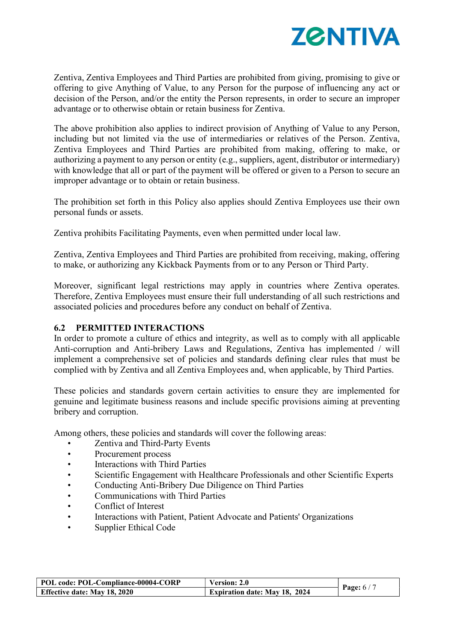

Zentiva, Zentiva Employees and Third Parties are prohibited from giving, promising to give or offering to give Anything of Value, to any Person for the purpose of influencing any act or decision of the Person, and/or the entity the Person represents, in order to secure an improper advantage or to otherwise obtain or retain business for Zentiva.

The above prohibition also applies to indirect provision of Anything of Value to any Person, including but not limited via the use of intermediaries or relatives of the Person. Zentiva, Zentiva Employees and Third Parties are prohibited from making, offering to make, or authorizing a payment to any person or entity (e.g., suppliers, agent, distributor or intermediary) with knowledge that all or part of the payment will be offered or given to a Person to secure an improper advantage or to obtain or retain business.

The prohibition set forth in this Policy also applies should Zentiva Employees use their own personal funds or assets.

Zentiva prohibits Facilitating Payments, even when permitted under local law.

Zentiva, Zentiva Employees and Third Parties are prohibited from receiving, making, offering to make, or authorizing any Kickback Payments from or to any Person or Third Party.

Moreover, significant legal restrictions may apply in countries where Zentiva operates. Therefore, Zentiva Employees must ensure their full understanding of all such restrictions and associated policies and procedures before any conduct on behalf of Zentiva.

#### 6.2 PERMITTED INTERACTIONS

In order to promote a culture of ethics and integrity, as well as to comply with all applicable Anti-corruption and Anti-bribery Laws and Regulations, Zentiva has implemented / will implement a comprehensive set of policies and standards defining clear rules that must be complied with by Zentiva and all Zentiva Employees and, when applicable, by Third Parties.

These policies and standards govern certain activities to ensure they are implemented for genuine and legitimate business reasons and include specific provisions aiming at preventing bribery and corruption.

Among others, these policies and standards will cover the following areas:

- Zentiva and Third-Party Events
- Procurement process
- Interactions with Third Parties
- Scientific Engagement with Healthcare Professionals and other Scientific Experts
- Conducting Anti-Bribery Due Diligence on Third Parties
- Communications with Third Parties
- Conflict of Interest
- Interactions with Patient, Patient Advocate and Patients' Organizations
- Supplier Ethical Code

| POL code: POL-Compliance-00004-CORP | Version: 2.0                         |             |
|-------------------------------------|--------------------------------------|-------------|
| <b>Effective date: May 18, 2020</b> | <b>Expiration date: May 18, 2024</b> | Page: $6/7$ |